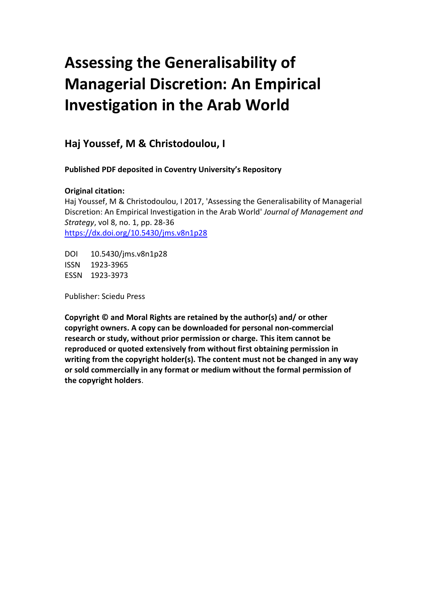# **Assessing the Generalisability of Managerial Discretion: An Empirical Investigation in the Arab World**

**Haj Youssef, M & Christodoulou, I**

**Published PDF deposited in Coventry University's Repository**

# **Original citation:**

Haj Youssef, M & Christodoulou, I 2017, 'Assessing the Generalisability of Managerial Discretion: An Empirical Investigation in the Arab World' *Journal of Management and Strategy*, vol 8, no. 1, pp. 28-36 <https://dx.doi.org/10.5430/jms.v8n1p28>

DOI 10.5430/jms.v8n1p28 ISSN 1923-3965 ESSN 1923-3973

Publisher: Sciedu Press

**Copyright © and Moral Rights are retained by the author(s) and/ or other copyright owners. A copy can be downloaded for personal non-commercial research or study, without prior permission or charge. This item cannot be reproduced or quoted extensively from without first obtaining permission in writing from the copyright holder(s). The content must not be changed in any way or sold commercially in any format or medium without the formal permission of the copyright holders**.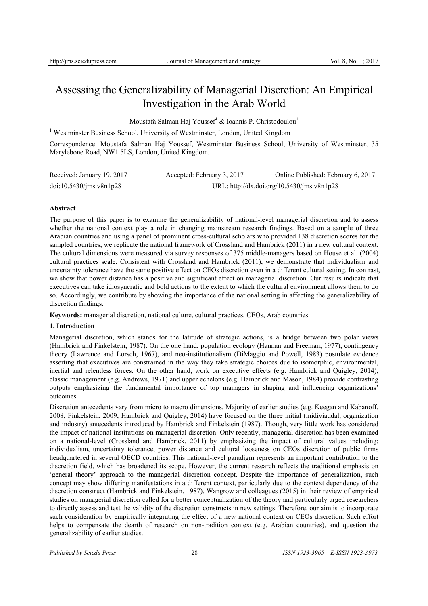# Assessing the Generalizability of Managerial Discretion: An Empirical Investigation in the Arab World

Moustafa Salman Haj Youssef<sup>1</sup> & Ioannis P. Christodoulou<sup>1</sup>

<sup>1</sup> Westminster Business School, University of Westminster, London, United Kingdom

Correspondence: Moustafa Salman Haj Youssef, Westminster Business School, University of Westminster, 35 Marylebone Road, NW1 5LS, London, United Kingdom.

| Received: January 19, 2017 | Accepted: February 3, 2017 | Online Published: February 6, 2017         |
|----------------------------|----------------------------|--------------------------------------------|
| doi:10.5430/ims.v8n1p28    |                            | URL: http://dx.doi.org/10.5430/jms.v8n1p28 |

# **Abstract**

The purpose of this paper is to examine the generalizability of national-level managerial discretion and to assess whether the national context play a role in changing mainstream research findings. Based on a sample of three Arabian countries and using a panel of prominent cross-cultural scholars who provided 138 discretion scores for the sampled countries, we replicate the national framework of Crossland and Hambrick (2011) in a new cultural context. The cultural dimensions were measured via survey responses of 375 middle-managers based on House et al. (2004) cultural practices scale. Consistent with Crossland and Hambrick (2011), we demonstrate that individualism and uncertainty tolerance have the same positive effect on CEOs discretion even in a different cultural setting. In contrast, we show that power distance has a positive and significant effect on managerial discretion. Our results indicate that executives can take idiosyncratic and bold actions to the extent to which the cultural environment allows them to do so. Accordingly, we contribute by showing the importance of the national setting in affecting the generalizability of discretion findings.

**Keywords:** managerial discretion, national culture, cultural practices, CEOs, Arab countries

# **1. Introduction**

Managerial discretion, which stands for the latitude of strategic actions, is a bridge between two polar views (Hambrick and Finkelstein, 1987). On the one hand, population ecology (Hannan and Freeman, 1977), contingency theory (Lawrence and Lorsch, 1967), and neo-institutionalism (DiMaggio and Powell, 1983) postulate evidence asserting that executives are constrained in the way they take strategic choices due to isomorphic, environmental, inertial and relentless forces. On the other hand, work on executive effects (e.g. Hambrick and Quigley, 2014), classic management (e.g. Andrews, 1971) and upper echelons (e.g. Hambrick and Mason, 1984) provide contrasting outputs emphasizing the fundamental importance of top managers in shaping and influencing organizations' outcomes.

Discretion antecedents vary from micro to macro dimensions. Majority of earlier studies (e.g. Keegan and Kabanoff, 2008; Finkelstein, 2009; Hambrick and Quigley, 2014) have focused on the three initial (inidiviaudal, organization and industry) antecedents introduced by Hambrick and Finkelstein (1987). Though, very little work has considered the impact of national institutions on managerial discretion. Only recently, managerial discretion has been examined on a national-level (Crossland and Hambrick, 2011) by emphasizing the impact of cultural values including: individualism, uncertainty tolerance, power distance and cultural looseness on CEOs discretion of public firms headquartered in several OECD countries. This national-level paradigm represents an important contribution to the discretion field, which has broadened its scope. However, the current research reflects the traditional emphasis on 'general theory' approach to the managerial discretion concept. Despite the importance of generalization, such concept may show differing manifestations in a different context, particularly due to the context dependency of the discretion construct (Hambrick and Finkelstein, 1987). Wangrow and colleagues (2015) in their review of empirical studies on managerial discretion called for a better conceptualization of the theory and particularly urged researchers to directly assess and test the validity of the discretion constructs in new settings. Therefore, our aim is to incorporate such consideration by empirically integrating the effect of a new national context on CEOs discretion. Such effort helps to compensate the dearth of research on non-tradition context (e.g. Arabian countries), and question the generalizability of earlier studies.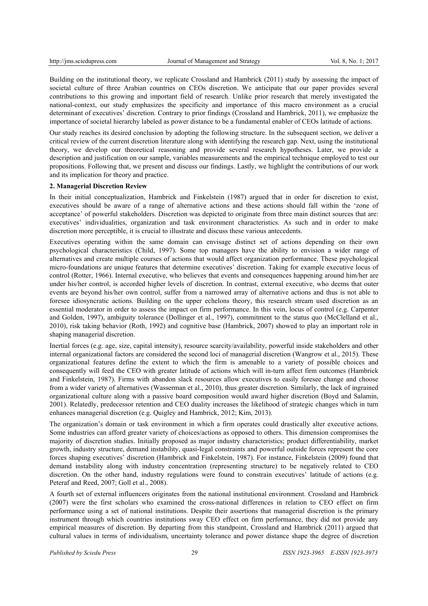Building on the institutional theory, we replicate Crossland and Hambrick (2011) study by assessing the impact of societal culture of three Arabian countries on CEOs discretion. We anticipate that our paper provides several contributions to this growing and important field of research. Unlike prior research that merely investigated the national-context, our study emphasizes the specificity and importance of this macro environment as a crucial determinant of executives' discretion. Contrary to prior findings (Crossland and Hambrick, 2011), we emphasize the importance of societal hierarchy labeled as power distance to be a fundamental enabler of CEOs latitude of actions.

Our study reaches its desired conclusion by adopting the following structure. In the subsequent section, we deliver a critical review of the current discretion literature along with identifying the research gap. Next, using the institutional theory, we develop our theoretical reasoning and provide several research hypotheses. Later, we provide a description and justification on our sample, variables measurements and the empirical technique employed to test our propositions. Following that, we present and discuss our findings. Lastly, we highlight the contributions of our work and its implication for theory and practice.

# **2. Managerial Discretion Review**

In their initial conceptualization, Hambrick and Finkelstein (1987) argued that in order for discretion to exist, executives should be aware of a range of alternative actions and these actions should fall within the 'zone of acceptance' of powerful stakeholders. Discretion was depicted to originate from three main distinct sources that are: executives' individualities, organization and task environment characteristics. As such and in order to make discretion more perceptible, it is crucial to illustrate and discuss these various antecedents.

Executives operating within the same domain can envisage distinct set of actions depending on their own psychological characteristics (Child, 1997). Some top managers have the ability to envision a wider range of alternatives and create multiple courses of actions that would affect organization performance. These psychological micro-foundations are unique features that determine executives' discretion. Taking for example executive locus of control (Rotter, 1966). Internal executive, who believes that events and consequences happening around him/her are under his/her control, is accorded higher levels of discretion. In contrast, external executive, who deems that outer events are beyond his/her own control, suffer from a narrowed array of alternative actions and thus is not able to foresee idiosyncratic actions. Building on the upper echelons theory, this research stream used discretion as an essential moderator in order to assess the impact on firm performance. In this vein, locus of control (e.g. Carpenter and Golden, 1997), ambiguity tolerance (Dollinger et al., 1997), commitment to the status quo (McClelland et al., 2010), risk taking behavior (Roth, 1992) and cognitive base (Hambrick, 2007) showed to play an important role in shaping managerial discretion.

Inertial forces (e.g. age, size, capital intensity), resource scarcity/availability, powerful inside stakeholders and other internal organizational factors are considered the second loci of managerial discretion (Wangrow et al., 2015). These organizational features define the extent to which the firm is amenable to a variety of possible choices and consequently will feed the CEO with greater latitude of actions which will in-turn affect firm outcomes (Hambrick and Finkelstein, 1987). Firms with abandon slack resources allow executives to easily foresee change and choose from a wider variety of alternatives (Wasserman et al., 2010), thus greater discretion. Similarly, the lack of ingrained organizational culture along with a passive board composition would award higher discretion (Boyd and Salamin, 2001). Relatedly, predecessor retention and CEO duality increases the likelihood of strategic changes which in turn enhances managerial discretion (e.g. Quigley and Hambrick, 2012; Kim, 2013).

The organization's domain or task environment in which a firm operates could drastically alter executive actions. Some industries can afford greater variety of choices/actions as opposed to others. This dimension compromises the majority of discretion studies. Initially proposed as major industry characteristics; product differentiability, market growth, industry structure, demand instability, quasi-legal constraints and powerful outside forces represent the core forces shaping executives' discretion (Hambrick and Finkelstein, 1987). For instance, Finkelstein (2009) found that demand instability along with industry concentration (representing structure) to be negatively related to CEO discretion. On the other hand, industry regulations were found to constrain executives' latitude of actions (e.g. Peteraf and Reed, 2007; Goll et al., 2008).

A fourth set of external influencers originates from the national institutional environment. Crossland and Hambrick (2007) were the first scholars who examined the cross-national differences in relation to CEO effect on firm performance using a set of national institutions. Despite their assertions that managerial discretion is the primary instrument through which countries institutions sway CEO effect on firm performance, they did not provide any empirical measures of discretion. By departing from this standpoint, Crossland and Hambrick (2011) argued that cultural values in terms of individualism, uncertainty tolerance and power distance shape the degree of discretion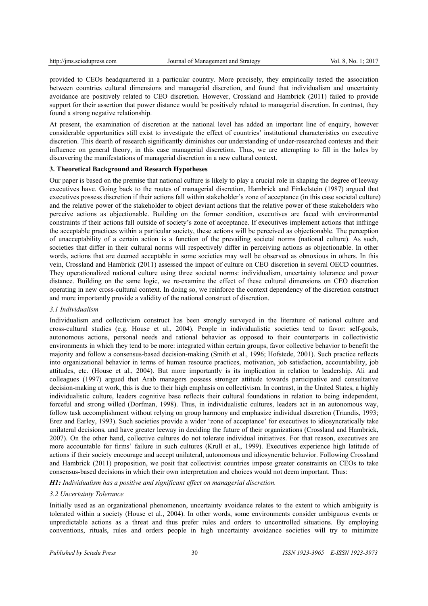provided to CEOs headquartered in a particular country. More precisely, they empirically tested the association between countries cultural dimensions and managerial discretion, and found that individualism and uncertainty avoidance are positively related to CEO discretion. However, Crossland and Hambrick (2011) failed to provide support for their assertion that power distance would be positively related to managerial discretion. In contrast, they found a strong negative relationship.

At present, the examination of discretion at the national level has added an important line of enquiry, however considerable opportunities still exist to investigate the effect of countries' institutional characteristics on executive discretion. This dearth of research significantly diminishes our understanding of under-researched contexts and their influence on general theory, in this case managerial discretion. Thus, we are attempting to fill in the holes by discovering the manifestations of managerial discretion in a new cultural context.

# **3. Theoretical Background and Research Hypotheses**

Our paper is based on the premise that national culture is likely to play a crucial role in shaping the degree of leeway executives have. Going back to the routes of managerial discretion, Hambrick and Finkelstein (1987) argued that executives possess discretion if their actions fall within stakeholder's zone of acceptance (in this case societal culture) and the relative power of the stakeholder to object deviant actions that the relative power of these stakeholders who perceive actions as objectionable. Building on the former condition, executives are faced with environmental constraints if their actions fall outside of society's zone of acceptance. If executives implement actions that infringe the acceptable practices within a particular society, these actions will be perceived as objectionable. The perception of unacceptability of a certain action is a function of the prevailing societal norms (national culture). As such, societies that differ in their cultural norms will respectively differ in perceiving actions as objectionable. In other words, actions that are deemed acceptable in some societies may well be observed as obnoxious in others. In this vein, Crossland and Hambrick (2011) assessed the impact of culture on CEO discretion in several OECD countries. They operationalized national culture using three societal norms: individualism, uncertainty tolerance and power distance. Building on the same logic, we re-examine the effect of these cultural dimensions on CEO discretion operating in new cross-cultural context. In doing so, we reinforce the context dependency of the discretion construct and more importantly provide a validity of the national construct of discretion.

# *3.1 Individualism*

Individualism and collectivism construct has been strongly surveyed in the literature of national culture and cross-cultural studies (e.g. House et al., 2004). People in individualistic societies tend to favor: self-goals, autonomous actions, personal needs and rational behavior as opposed to their counterparts in collectivistic environments in which they tend to be more: integrated within certain groups, favor collective behavior to benefit the majority and follow a consensus-based decision-making (Smith et al., 1996; Hofstede, 2001). Such practice reflects into organizational behavior in terms of human resource practices, motivation, job satisfaction, accountability, job attitudes, etc. (House et al., 2004). But more importantly is its implication in relation to leadership. Ali and colleagues (1997) argued that Arab managers possess stronger attitude towards participative and consultative decision-making at work, this is due to their high emphasis on collectivism. In contrast, in the United States, a highly individualistic culture, leaders cognitive base reflects their cultural foundations in relation to being independent, forceful and strong willed (Dorfman, 1998). Thus, in individualistic cultures, leaders act in an autonomous way, follow task accomplishment without relying on group harmony and emphasize individual discretion (Triandis, 1993; Erez and Earley, 1993). Such societies provide a wider 'zone of acceptance' for executives to idiosyncratically take unilateral decisions, and have greater leeway in deciding the future of their organizations (Crossland and Hambrick, 2007). On the other hand, collective cultures do not tolerate individual initiatives. For that reason, executives are more accountable for firms' failure in such cultures (Krull et al., 1999). Executives experience high latitude of actions if their society encourage and accept unilateral, autonomous and idiosyncratic behavior. Following Crossland and Hambrick (2011) proposition, we posit that collectivist countries impose greater constraints on CEOs to take consensus-based decisions in which their own interpretation and choices would not deem important. Thus:

*H1: Individualism has a positive and significant effect on managerial discretion.* 

#### *3.2 Uncertainty Tolerance*

Initially used as an organizational phenomenon, uncertainty avoidance relates to the extent to which ambiguity is tolerated within a society (House et al., 2004). In other words, some environments consider ambiguous events or unpredictable actions as a threat and thus prefer rules and orders to uncontrolled situations. By employing conventions, rituals, rules and orders people in high uncertainty avoidance societies will try to minimize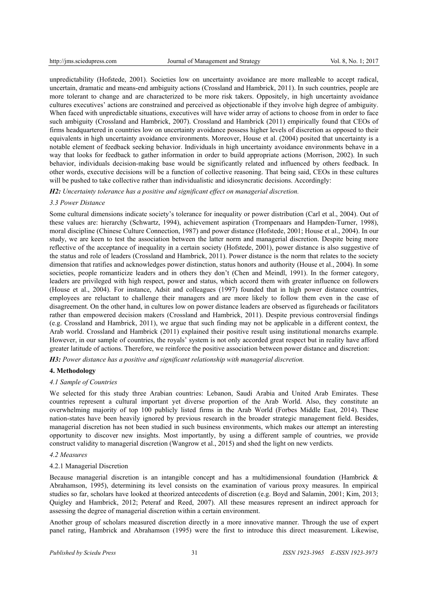unpredictability (Hofstede, 2001). Societies low on uncertainty avoidance are more malleable to accept radical, uncertain, dramatic and means-end ambiguity actions (Crossland and Hambrick, 2011). In such countries, people are more tolerant to change and are characterized to be more risk takers. Oppositely, in high uncertainty avoidance cultures executives' actions are constrained and perceived as objectionable if they involve high degree of ambiguity. When faced with unpredictable situations, executives will have wider array of actions to choose from in order to face such ambiguity (Crossland and Hambrick, 2007). Crossland and Hambrick (2011) empirically found that CEOs of firms headquartered in countries low on uncertainty avoidance possess higher levels of discretion as opposed to their equivalents in high uncertainty avoidance environments. Moreover, House et al. (2004) posited that uncertainty is a notable element of feedback seeking behavior. Individuals in high uncertainty avoidance environments behave in a way that looks for feedback to gather information in order to build appropriate actions (Morrison, 2002). In such behavior, individuals decision-making base would be significantly related and influenced by others feedback. In other words, executive decisions will be a function of collective reasoning. That being said, CEOs in these cultures will be pushed to take collective rather than individualistic and idiosyncratic decisions. Accordingly:

*H2: Uncertainty tolerance has a positive and significant effect on managerial discretion.*

# *3.3 Power Distance*

Some cultural dimensions indicate society's tolerance for inequality or power distribution (Carl et al., 2004). Out of these values are: hierarchy (Schwartz, 1994), achievement aspiration (Trompenaars and Hampden-Turner, 1998), moral discipline (Chinese Culture Connection, 1987) and power distance (Hofstede, 2001; House et al., 2004). In our study, we are keen to test the association between the latter norm and managerial discretion. Despite being more reflective of the acceptance of inequality in a certain society (Hofstede, 2001), power distance is also suggestive of the status and role of leaders (Crossland and Hambrick, 2011). Power distance is the norm that relates to the society dimension that ratifies and acknowledges power distinction, status honors and authority (House et al., 2004). In some societies, people romanticize leaders and in others they don't (Chen and Meindl, 1991). In the former category, leaders are privileged with high respect, power and status, which accord them with greater influence on followers (House et al., 2004). For instance, Adsit and colleagues (1997) founded that in high power distance countries, employees are reluctant to challenge their managers and are more likely to follow them even in the case of disagreement. On the other hand, in cultures low on power distance leaders are observed as figureheads or facilitators rather than empowered decision makers (Crossland and Hambrick, 2011). Despite previous controversial findings (e.g. Crossland and Hambrick, 2011), we argue that such finding may not be applicable in a different context, the Arab world. Crossland and Hambrick (2011) explained their positive result using institutional monarchs example. However, in our sample of countries, the royals' system is not only accorded great respect but in reality have afford greater latitude of actions. Therefore, we reinforce the positive association between power distance and discretion:

*H3: Power distance has a positive and significant relationship with managerial discretion.* 

# **4. Methodology**

# *4.1 Sample of Countries*

We selected for this study three Arabian countries: Lebanon, Saudi Arabia and United Arab Emirates. These countries represent a cultural important yet diverse proportion of the Arab World. Also, they constitute an overwhelming majority of top 100 publicly listed firms in the Arab World (Forbes Middle East, 2014). These nation-states have been heavily ignored by previous research in the broader strategic management field. Besides, managerial discretion has not been studied in such business environments, which makes our attempt an interesting opportunity to discover new insights. Most importantly, by using a different sample of countries, we provide construct validity to managerial discretion (Wangrow et al., 2015) and shed the light on new verdicts.

# *4.2 Measures*

# 4.2.1 Managerial Discretion

Because managerial discretion is an intangible concept and has a multidimensional foundation (Hambrick & Abrahamson, 1995), determining its level consists on the examination of various proxy measures. In empirical studies so far, scholars have looked at theorized antecedents of discretion (e.g. Boyd and Salamin, 2001; Kim, 2013; Quigley and Hambrick, 2012; Peteraf and Reed, 2007). All these measures represent an indirect approach for assessing the degree of managerial discretion within a certain environment.

Another group of scholars measured discretion directly in a more innovative manner. Through the use of expert panel rating, Hambrick and Abrahamson (1995) were the first to introduce this direct measurement. Likewise,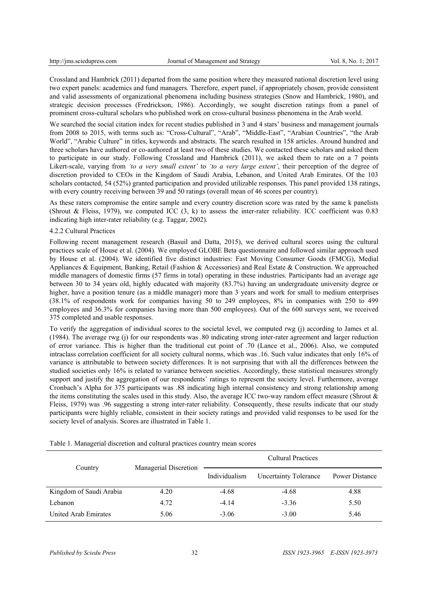Crossland and Hambrick (2011) departed from the same position where they measured national discretion level using two expert panels: academics and fund managers. Therefore, expert panel, if appropriately chosen, provide consistent and valid assessments of organizational phenomena including business strategies (Snow and Hambrick, 1980), and strategic decision processes (Fredrickson, 1986). Accordingly, we sought discretion ratings from a panel of prominent cross-cultural scholars who published work on cross-cultural business phenomena in the Arab world.

We searched the social citation index for recent studies published in 3 and 4 stars' business and management journals from 2008 to 2015, with terms such as: "Cross-Cultural", "Arab", "Middle-East", "Arabian Countries", "the Arab World", "Arabic Culture" in titles, keywords and abstracts. The search resulted in 158 articles. Around hundred and three scholars have authored or co-authored at least two of these studies. We contacted these scholars and asked them to participate in our study. Following Crossland and Hambrick (2011), we asked them to rate on a 7 points Likert-scale, varying from *'to a very small extent'* to *'to a very large extent'*, their perception of the degree of discretion provided to CEOs in the Kingdom of Saudi Arabia, Lebanon, and United Arab Emirates. Of the 103 scholars contacted, 54 (52%) granted participation and provided utilizable responses. This panel provided 138 ratings, with every country receiving between 39 and 50 ratings (overall mean of 46 scores per country).

As these raters compromise the entire sample and every country discretion score was rated by the same k panelists (Shrout & Fleiss, 1979), we computed ICC  $(3, k)$  to assess the inter-rater reliability. ICC coefficient was 0.83 indicating high inter-rater reliability (e.g. Taggar, 2002).

## 4.2.2 Cultural Practices

Following recent management research (Basuil and Datta, 2015), we derived cultural scores using the cultural practices scale of House et al. (2004). We employed GLOBE Beta questionnaire and followed similar approach used by House et al. (2004). We identified five distinct industries: Fast Moving Consumer Goods (FMCG), Medial Appliances & Equipment, Banking, Retail (Fashion & Accessories) and Real Estate & Construction. We approached middle managers of domestic firms (57 firms in total) operating in these industries. Participants had an average age between 30 to 34 years old, highly educated with majority (83.7%) having an undergraduate university degree or higher, have a position tenure (as a middle manager) more than 3 years and work for small to medium enterprises (38.1% of respondents work for companies having 50 to 249 employees, 8% in companies with 250 to 499 employees and 36.3% for companies having more than 500 employees). Out of the 600 surveys sent, we received 375 completed and usable responses.

To verify the aggregation of individual scores to the societal level, we computed rwg (j) according to James et al. (1984). The average rwg (j) for our respondents was .80 indicating strong inter-rater agreement and larger reduction of error variance. This is higher than the traditional cut point of .70 (Lance et al., 2006). Also, we computed intraclass correlation coefficient for all society cultural norms, which was .16. Such value indicates that only 16% of variance is attributable to between society differences. It is not surprising that with all the differences between the studied societies only 16% is related to variance between societies. Accordingly, these statistical measures strongly support and justify the aggregation of our respondents' ratings to represent the society level. Furthermore, average Cronbach's Alpha for 375 participants was .88 indicating high internal consistency and strong relationship among the items constituting the scales used in this study. Also, the average ICC two-way random effect measure (Shrout  $\&$ Fleiss, 1979) was .96 suggesting a strong inter-rater reliability. Consequently, these results indicate that our study participants were highly reliable, consistent in their society ratings and provided valid responses to be used for the society level of analysis. Scores are illustrated in Table 1.

| Country                 | Managerial Discretion | <b>Cultural Practices</b> |                              |                |
|-------------------------|-----------------------|---------------------------|------------------------------|----------------|
|                         |                       | Individualism             | <b>Uncertainty Tolerance</b> | Power Distance |
| Kingdom of Saudi Arabia | 4.20                  | $-4.68$                   | $-4.68$                      | 4.88           |
| Lebanon                 | 4.72                  | $-4.14$                   | $-3.36$                      | 5.50           |
| United Arab Emirates    | 5.06                  | $-3.06$                   | $-3.00$                      | 5.46           |

Table 1. Managerial discretion and cultural practices country mean scores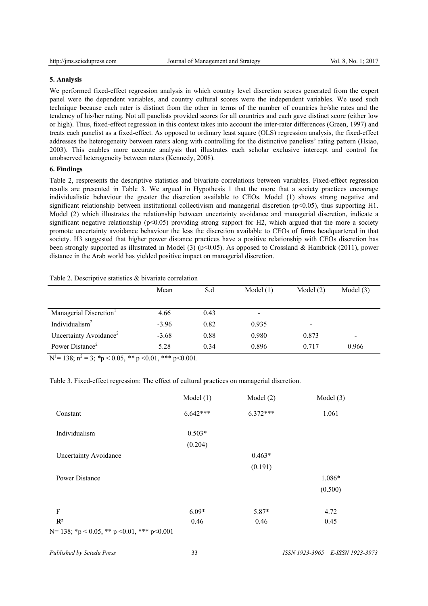# **5. Analysis**

We performed fixed-effect regression analysis in which country level discretion scores generated from the expert panel were the dependent variables, and country cultural scores were the independent variables. We used such technique because each rater is distinct from the other in terms of the number of countries he/she rates and the tendency of his/her rating. Not all panelists provided scores for all countries and each gave distinct score (either low or high). Thus, fixed-effect regression in this context takes into account the inter-rater differences (Green, 1997) and treats each panelist as a fixed-effect. As opposed to ordinary least square (OLS) regression analysis, the fixed-effect addresses the heterogeneity between raters along with controlling for the distinctive panelists' rating pattern (Hsiao, 2003). This enables more accurate analysis that illustrates each scholar exclusive intercept and control for unobserved heterogeneity between raters (Kennedy, 2008).

# **6. Findings**

Table 2, respresents the descriptive statistics and bivariate correlations between variables. Fixed-effect regression results are presented in Table 3. We argued in Hypothesis 1 that the more that a society practices encourage individualistic behaviour the greater the discretion available to CEOs. Model (1) shows strong negative and significant relationship between institutional collectivism and managerial discretion ( $p<0.05$ ), thus supporting H1. Model (2) which illustrates the relationship between uncertainty avoidance and managerial discretion, indicate a significant negative relationship ( $p<0.05$ ) providing strong support for H2, which argued that the more a society promote uncertainty avoidance behaviour the less the discretion available to CEOs of firms headquartered in that society. H3 suggested that higher power distance practices have a positive relationship with CEOs discretion has been strongly supported as illustrated in Model (3) (p<0.05). As opposed to Crossland & Hambrick (2011), power distance in the Arab world has yielded positive impact on managerial discretion.

|                                                                                                                                                                                                                                                                                                                                | Mean    | S.d  | Model $(1)$              | Model $(2)$              | Model $(3)$              |
|--------------------------------------------------------------------------------------------------------------------------------------------------------------------------------------------------------------------------------------------------------------------------------------------------------------------------------|---------|------|--------------------------|--------------------------|--------------------------|
|                                                                                                                                                                                                                                                                                                                                |         |      |                          |                          |                          |
| Managerial Discretion <sup>1</sup>                                                                                                                                                                                                                                                                                             | 4.66    | 0.43 | $\overline{\phantom{a}}$ |                          |                          |
| Individualism <sup>2</sup>                                                                                                                                                                                                                                                                                                     | $-3.96$ | 0.82 | 0.935                    | $\overline{\phantom{0}}$ |                          |
| Uncertainty Avoidance <sup>2</sup>                                                                                                                                                                                                                                                                                             | $-3.68$ | 0.88 | 0.980                    | 0.873                    | $\overline{\phantom{0}}$ |
| Power Distance <sup>2</sup>                                                                                                                                                                                                                                                                                                    | 5.28    | 0.34 | 0.896                    | 0.717                    | 0.966                    |
| $\mathbf{M}$ 120. $\mathbf{L}$ 2. $\mathbf{A}$ $\mathbf{A}$ $\mathbf{A}$ $\mathbf{A}$ $\mathbf{A}$ $\mathbf{A}$ $\mathbf{A}$ $\mathbf{A}$ $\mathbf{A}$ $\mathbf{A}$ $\mathbf{A}$ $\mathbf{A}$ $\mathbf{A}$ $\mathbf{A}$ $\mathbf{A}$ $\mathbf{A}$ $\mathbf{A}$ $\mathbf{A}$ $\mathbf{A}$ $\mathbf{A}$ $\mathbf{A}$ $\mathbf{A$ |         |      |                          |                          |                          |

# Table 2. Descriptive statistics & bivariate correlation

 $N^{1}= 138$ ;  $n^{2}=3$ ; \*p < 0.05, \*\* p < 0.01, \*\*\* p < 0.001.

## Table 3. Fixed-effect regression: The effect of cultural practices on managerial discretion.

|                              | Model $(1)$ | Model $(2)$ | Model $(3)$ |
|------------------------------|-------------|-------------|-------------|
| Constant                     | $6.642***$  | $6.372***$  | 1.061       |
| Individualism                | $0.503*$    |             |             |
|                              | (0.204)     |             |             |
| <b>Uncertainty Avoidance</b> |             | $0.463*$    |             |
|                              |             | (0.191)     |             |
| <b>Power Distance</b>        |             |             | 1.086*      |
|                              |             |             | (0.500)     |
| F                            | $6.09*$     | 5.87*       | 4.72        |
| $\mathbf{R}^2$               | 0.46        | 0.46        | 0.45        |

N= 138; \*p < 0.05, \*\* p < 0.01, \*\*\* p < 0.001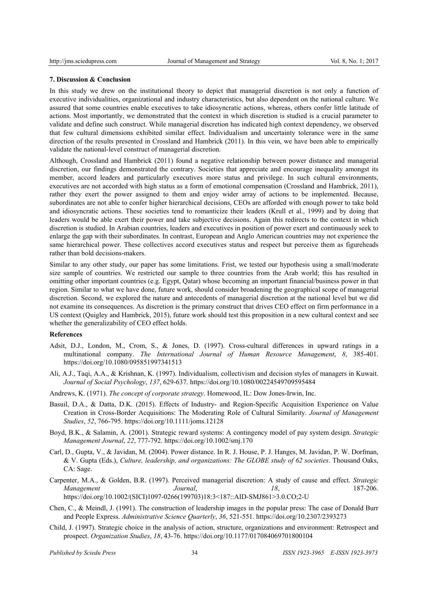## **7. Discussion & Conclusion**

In this study we drew on the institutional theory to depict that managerial discretion is not only a function of executive individualities, organizational and industry characteristics, but also dependent on the national culture. We assured that some countries enable executives to take idiosyncratic actions, whereas, others confer little latitude of actions. Most importantly, we demonstrated that the context in which discretion is studied is a crucial parameter to validate and define such construct. While managerial discretion has indicated high context dependency, we observed that few cultural dimensions exhibited similar effect. Individualism and uncertainty tolerance were in the same direction of the results presented in Crossland and Hambrick (2011). In this vein, we have been able to empirically validate the national-level construct of managerial discretion.

Although, Crossland and Hambrick (2011) found a negative relationship between power distance and managerial discretion, our findings demonstrated the contrary. Societies that appreciate and encourage inequality amongst its member, accord leaders and particularly executives more status and privilege. In such cultural environments, executives are not accorded with high status as a form of emotional compensation (Crossland and Hambrick, 2011), rather they exert the power assigned to them and enjoy wider array of actions to be implemented. Because, subordinates are not able to confer higher hierarchical decisions, CEOs are afforded with enough power to take bold and idiosyncratic actions. These societies tend to romanticize their leaders (Krull et al., 1999) and by doing that leaders would be able exert their power and take subjective decisions. Again this redirects to the context in which discretion is studied. In Arabian countries, leaders and executives in position of power exert and continuously seek to enlarge the gap with their subordinates. In contrast, European and Anglo American countries may not experience the same hierarchical power. These collectives accord executives status and respect but perceive them as figureheads rather than bold decisions-makers.

Similar to any other study, our paper has some limitations. Frist, we tested our hypothesis using a small/moderate size sample of countries. We restricted our sample to three countries from the Arab world; this has resulted in omitting other important countries (e.g. Egypt, Qatar) whose becoming an important financial/business power in that region. Similar to what we have done, future work, should consider broadening the geographical scope of managerial discretion. Second, we explored the nature and antecedents of managerial discretion at the national level but we did not examine its consequences. As discretion is the primary construct that drives CEO effect on firm performance in a US context (Quigley and Hambrick, 2015), future work should test this proposition in a new cultural context and see whether the generalizability of CEO effect holds.

# **References**

- Adsit, D.J., London, M., Crom, S., & Jones, D. (1997). Cross-cultural differences in upward ratings in a multinational company. *The International Journal of Human Resource Management*, *8*, 385-401. https://doi.org/10.1080/095851997341513
- Ali, A.J., Taqi, A.A., & Krishnan, K. (1997). Individualism, collectivism and decision styles of managers in Kuwait. *Journal of Social Psychology*, *137*, 629-637. https://doi.org/10.1080/00224549709595484
- Andrews, K. (1971). *The concept of corporate strategy*. Homewood, IL: Dow Jones-Irwin, Inc.
- Basuil, D.A., & Datta, D.K. (2015). Effects of Industry- and Region-Specific Acquisition Experience on Value Creation in Cross-Border Acquisitions: The Moderating Role of Cultural Similarity. *Journal of Management Studies*, *52*, 766-795. https://doi.org/10.1111/joms.12128
- Boyd, B.K., & Salamin, A. (2001). Strategic reward systems: A contingency model of pay system design. *Strategic Management Journal*, *22*, 777-792. https://doi.org/10.1002/smj.170
- Carl, D., Gupta, V., & Javidan, M. (2004). Power distance. In R. J. House, P. J. Hanges, M. Javidan, P. W. Dorfman, & V. Gupta (Eds.), *Culture, leadership, and organizations: The GLOBE study of 62 societies*. Thousand Oaks, CA: Sage.
- Carpenter, M.A., & Golden, B.R. (1997). Perceived managerial discretion: A study of cause and effect. *Strategic Management Journal*, *18*, 187-206. https://doi.org/10.1002/(SICI)1097-0266(199703)18:3<187::AID-SMJ861>3.0.CO;2-U
- Chen, C., & Meindl, J. (1991). The construction of leadership images in the popular press: The case of Donald Burr and People Express. *Administrative Science Quarterly*, *36*, 521-551. https://doi.org/10.2307/2393273
- Child, J. (1997). Strategic choice in the analysis of action, structure, organizations and environment: Retrospect and prospect. *Organization Studies*, *18*, 43-76. https://doi.org/10.1177/017084069701800104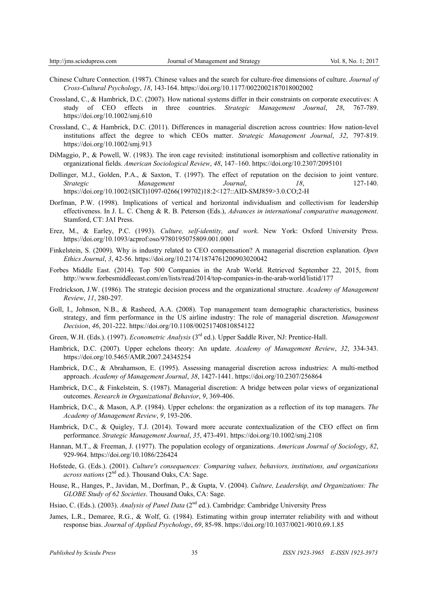- Chinese Culture Connection. (1987). Chinese values and the search for culture-free dimensions of culture. *Journal of Cross-Cultural Psychology*, *18*, 143-164. https://doi.org/10.1177/0022002187018002002
- Crossland, C., & Hambrick, D.C. (2007). How national systems differ in their constraints on corporate executives: A study of CEO effects in three countries. *Strategic Management Journal*, *28*, 767-789. https://doi.org/10.1002/smj.610
- Crossland, C., & Hambrick, D.C. (2011). Differences in managerial discretion across countries: How nation-level institutions affect the degree to which CEOs matter. *Strategic Management Journal*, *32*, 797-819. https://doi.org/10.1002/smj.913
- DiMaggio, P., & Powell, W. (1983). The iron cage revisited: institutional isomorphism and collective rationality in organizational fields. *American Sociological Review*, *48*, 147–160. https://doi.org/10.2307/2095101
- Dollinger, M.J., Golden, P.A., & Saxton, T. (1997). The effect of reputation on the decision to joint venture. *Strategic Management Journal*, *18*, 127-140. https://doi.org/10.1002/(SICI)1097-0266(199702)18:2<127::AID-SMJ859>3.0.CO;2-H
- Dorfman, P.W. (1998). Implications of vertical and horizontal individualism and collectivism for leadership effectiveness. In J. L. C. Cheng & R. B. Peterson (Eds.), *Advances in international comparative management*. Stamford, CT: JAI Press.
- Erez, M., & Earley, P.C. (1993). *Culture, self-identity, and work*. New York: Oxford University Press. https://doi.org/10.1093/acprof:oso/9780195075809.001.0001
- Finkelstein, S. (2009). Why is industry related to CEO compensation? A managerial discretion explanation. *Open Ethics Journal*, *3*, 42-56. https://doi.org/10.2174/1874761200903020042
- Forbes Middle East. (2014). Top 500 Companies in the Arab World. Retrieved September 22, 2015, from http://www.forbesmiddleeast.com/en/lists/read/2014/top-companies-in-the-arab-world/listid/177
- Fredrickson, J.W. (1986). The strategic decision process and the organizational structure. *Academy of Management Review*, *11*, 280-297.
- Goll, I., Johnson, N.B., & Rasheed, A.A. (2008). Top management team demographic characteristics, business strategy, and firm performance in the US airline industry: The role of managerial discretion. *Management Decision*, *46*, 201-222. https://doi.org/10.1108/00251740810854122
- Green, W.H. (Eds.). (1997). *Econometric Analysis* (3rd ed.). Upper Saddle River, NJ: Prentice-Hall.
- Hambrick, D.C. (2007). Upper echelons theory: An update. *Academy of Management Review*, *32*, 334-343. https://doi.org/10.5465/AMR.2007.24345254
- Hambrick, D.C., & Abrahamson, E. (1995). Assessing managerial discretion across industries: A multi-method approach. *Academy of Management Journal*, *38*, 1427-1441. https://doi.org/10.2307/256864
- Hambrick, D.C., & Finkelstein, S. (1987). Managerial discretion: A bridge between polar views of organizational outcomes. *Research in Organizational Behavior*, *9*, 369-406.
- Hambrick, D.C., & Mason, A.P. (1984). Upper echelons: the organization as a reflection of its top managers. *The Academy of Management Review*, *9*, 193-206.
- Hambrick, D.C., & Quigley, T.J. (2014). Toward more accurate contextualization of the CEO effect on firm performance. *Strategic Management Journal*, *35*, 473-491. https://doi.org/10.1002/smj.2108
- Hannan, M.T., & Freeman, J. (1977). The population ecology of organizations. *American Journal of Sociology*, *82*, 929-964. https://doi.org/10.1086/226424
- Hofstede, G. (Eds.). (2001). *Culture's consequences: Comparing values, behaviors, institutions, and organizations across nations* (2nd ed.). Thousand Oaks, CA: Sage.
- House, R., Hanges, P., Javidan, M., Dorfman, P., & Gupta, V. (2004). *Culture, Leadership, and Organizations: The GLOBE Study of 62 Societies*. Thousand Oaks, CA: Sage.
- Hsiao, C. (Eds.). (2003). *Analysis of Panel Data* (2<sup>nd</sup> ed.). Cambridge: Cambridge University Press
- James, L.R., Demaree, R.G., & Wolf, G. (1984). Estimating within group interrater reliability with and without response bias. *Journal of Applied Psychology*, *69*, 85-98. https://doi.org/10.1037/0021-9010.69.1.85